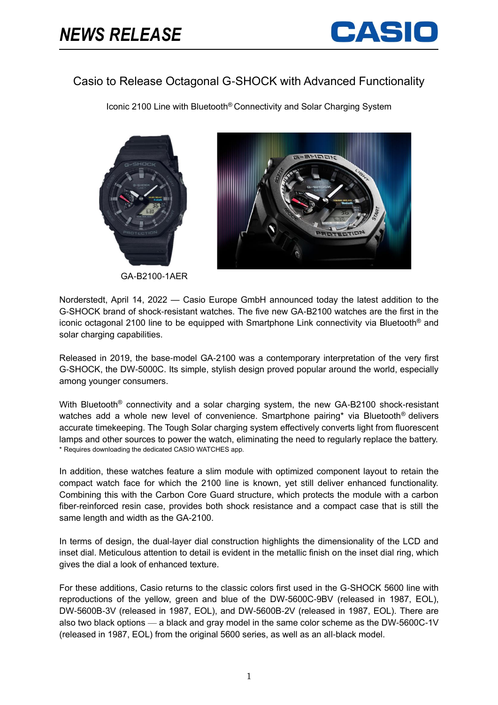

## Casio to Release Octagonal G-SHOCK with Advanced Functionality

Iconic 2100 Line with Bluetooth® Connectivity and Solar Charging System





GA-B2100-1AER

Norderstedt, April 14, 2022 — Casio Europe GmbH announced today the latest addition to the G-SHOCK brand of shock-resistant watches. The five new GA-B2100 watches are the first in the iconic octagonal 2100 line to be equipped with Smartphone Link connectivity via Bluetooth® and solar charging capabilities.

Released in 2019, the base-model GA-2100 was a contemporary interpretation of the very first G-SHOCK, the DW-5000C. Its simple, stylish design proved popular around the world, especially among younger consumers.

With Bluetooth<sup>®</sup> connectivity and a solar charging system, the new GA-B2100 shock-resistant watches add a whole new level of convenience. Smartphone pairing\* via Bluetooth<sup>®</sup> delivers accurate timekeeping. The Tough Solar charging system effectively converts light from fluorescent lamps and other sources to power the watch, eliminating the need to regularly replace the battery. \* Requires downloading the dedicated CASIO WATCHES app.

In addition, these watches feature a slim module with optimized component layout to retain the compact watch face for which the 2100 line is known, yet still deliver enhanced functionality. Combining this with the Carbon Core Guard structure, which protects the module with a carbon fiber-reinforced resin case, provides both shock resistance and a compact case that is still the same length and width as the GA-2100.

In terms of design, the dual-layer dial construction highlights the dimensionality of the LCD and inset dial. Meticulous attention to detail is evident in the metallic finish on the inset dial ring, which gives the dial a look of enhanced texture.

For these additions, Casio returns to the classic colors first used in the G-SHOCK 5600 line with reproductions of the yellow, green and blue of the DW-5600C-9BV (released in 1987, EOL), DW-5600B-3V (released in 1987, EOL), and DW-5600B-2V (released in 1987, EOL). There are also two black options — a black and gray model in the same color scheme as the DW-5600C-1V (released in 1987, EOL) from the original 5600 series, as well as an all-black model.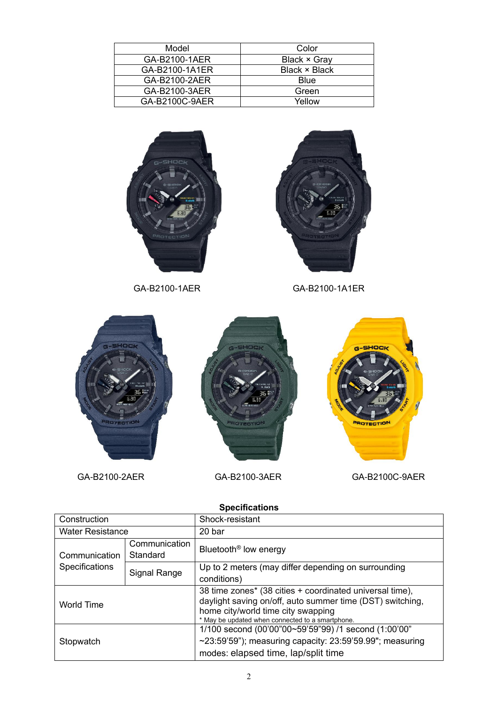| Model          | Color               |
|----------------|---------------------|
| GA-B2100-1AER  | <b>Black × Gray</b> |
| GA-B2100-1A1ER | Black × Black       |
| GA-B2100-2AER  | Blue                |
| GA-B2100-3AER  | Green               |
| GA-B2100C-9AER | Yellow              |





GA-B2100-1AER GA-B2100-1A1ER



| ,,,,,,,,,,,,,,,,                |                           |                                                                                                                                                                                                                 |
|---------------------------------|---------------------------|-----------------------------------------------------------------------------------------------------------------------------------------------------------------------------------------------------------------|
| Construction                    |                           | Shock-resistant                                                                                                                                                                                                 |
| <b>Water Resistance</b>         |                           | 20 bar                                                                                                                                                                                                          |
| Communication<br>Specifications | Communication<br>Standard | Bluetooth <sup>®</sup> low energy                                                                                                                                                                               |
|                                 | Signal Range              | Up to 2 meters (may differ depending on surrounding<br>conditions)                                                                                                                                              |
| World Time                      |                           | 38 time zones* (38 cities + coordinated universal time),<br>daylight saving on/off, auto summer time (DST) switching,<br>home city/world time city swapping<br>* May be updated when connected to a smartphone. |
| Stopwatch                       |                           | 1/100 second (00'00"00~59'59"99) /1 second (1:00'00"<br>$\sim$ 23:59'59"); measuring capacity: 23:59'59.99"; measuring<br>modes: elapsed time, lap/split time                                                   |

**Specifications**